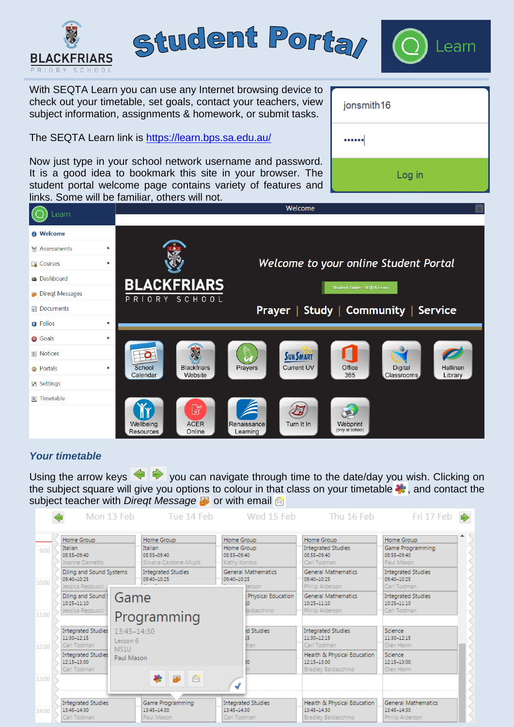

# *Your timetable*

Using the arrow keys  $\blacklozenge$   $\blacklozenge$  you can navigate through time to the date/day you wish. Clicking on the subject square will give you options to colour in that class on your timetable  $\ddot{\bullet}$ , and contact the subject teacher with *Diregt Message* **a** or with email a

|       |                                                                                                     | Mon 13 Feb                                    | Tue 14 Feb                                         |                                                         | Wed 15 Feb                           | Thu 16 Feb                                                                                            | Fri 17 Feb                                                    |
|-------|-----------------------------------------------------------------------------------------------------|-----------------------------------------------|----------------------------------------------------|---------------------------------------------------------|--------------------------------------|-------------------------------------------------------------------------------------------------------|---------------------------------------------------------------|
| 9:00  | Home Group<br>Italian<br>08:55-09:40<br>Joanne Dametto                                              | Italian                                       | Home Group<br>08:55-09:40<br>Silvana Cardone-Muzik | Home Group<br>Home Group<br>08:55-09:40<br>Kathy Kontos |                                      | Home Group<br><b>Integrated Studies</b><br>08:55-09:40<br>Carl Todman                                 | Home Group<br>Game Programming<br>08:55-09:40<br>Paul Mason   |
| 10:00 | DJing and Sound Systems<br>09:40-10:25<br>Jessica Reppucci                                          |                                               | <b>Integrated Studies</b><br>09:40-10:25           | 09:40-10:25                                             | <b>General Mathematics</b><br>lerson | <b>General Mathematics</b><br>09:40-10:25<br>Philip Alderson                                          | <b>Integrated Studies</b><br>09:40-10:25<br>Carl Todman       |
| 11:00 | DJing and Sound!<br>$10:25 - 11:10$<br>Jessica Reppucci                                             | Game<br>Programming                           |                                                    |                                                         | Physical Education<br>aldacchino     | <b>General Mathematics</b><br>10:25-11:10<br>Philip Alderson                                          | <b>Integrated Studies</b><br>10:25-11:10<br>Carl Todman       |
| 12:00 | <b>Integrated Studies</b><br>11:30-12:15<br>Carl Todman<br><b>Integrated Studies</b><br>12:15-13:00 | 13:45-14:30<br>Lesson 6<br>MS1U<br>Paul Mason |                                                    |                                                         | d Studies<br>15<br>man               | <b>Integrated Studies</b><br>11:30-12:15<br>Carl Todman<br>Health & Physical Education<br>12:15-13:00 | Science<br>11:30-12:15<br>Olev Harm<br>Science<br>12:15-13:00 |
| 13:00 | Carl Todman                                                                                         |                                               | 畿<br>闵<br>團                                        | √                                                       |                                      | Bradley Baldacchino                                                                                   | Olev Harm                                                     |
| 14:00 | <b>Integrated Studies</b><br>13:45-14:30<br>Carl Todman                                             |                                               | Game Programming<br>13:45-14:30<br>Paul Mason      | 13:45-14:30<br>Carl Todman                              | <b>Integrated Studies</b>            | Health & Physical Education<br>13:45-14:30<br>Bradley Baldacchino                                     | <b>General Mathematics</b><br>13:45-14:30<br>Philip Alderson  |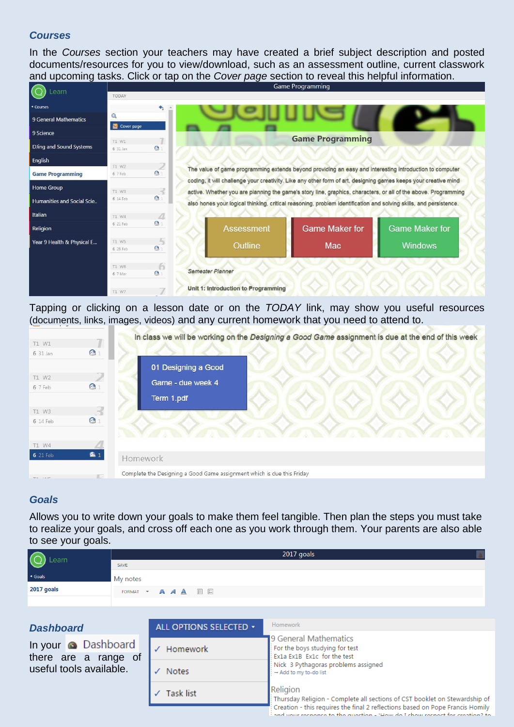### *Courses*

In the *Courses* section your teachers may have created a brief subject description and posted documents/resources for you to view/download, such as an assessment outline, current classwork and upcoming tasks. Click or tap on the *Cover page* section to reveal this helpful information.

| Learn                      |                   |                |                                                                                                                                                                                                                                   | <b>Vallie Libylatining</b> |                       |  |
|----------------------------|-------------------|----------------|-----------------------------------------------------------------------------------------------------------------------------------------------------------------------------------------------------------------------------------|----------------------------|-----------------------|--|
|                            | <b>TODAY</b>      |                |                                                                                                                                                                                                                                   |                            |                       |  |
| <b>Courses</b>             |                   | $\triangle$    |                                                                                                                                                                                                                                   |                            |                       |  |
| 9 General Mathematics      | Q<br>Cover page   |                |                                                                                                                                                                                                                                   |                            |                       |  |
| 9 Science                  |                   |                |                                                                                                                                                                                                                                   |                            |                       |  |
| DJing and Sound Systems    | T1 W1<br>6 31 Jan | $\bullet$      |                                                                                                                                                                                                                                   | <b>Game Programming</b>    |                       |  |
| English                    |                   |                |                                                                                                                                                                                                                                   |                            |                       |  |
| <b>Game Programming</b>    | T1 W2<br>6 7 Feb  | $\bullet$      | The value of game programming extends beyond providing an easy and interesting introduction to computer                                                                                                                           |                            |                       |  |
| <b>Home Group</b>          | T1 W3             | $\mathcal{R}$  | coding, it will challenge your creativity. Like any other form of art, designing games keeps your creative mind<br>active. Whether you are planning the game's story line, graphics, characters, or all of the above. Programming |                            |                       |  |
| Humanities and Social Scie | 6 14 Feb          | $\mathbf{e}_1$ | also hones your logical thinking, critical reasoning, problem identification and solving skills, and persistence.                                                                                                                 |                            |                       |  |
| Italian                    | T1 W4             | Δ              |                                                                                                                                                                                                                                   |                            |                       |  |
| Religion                   | 6 21 Feb          | $\mathbf{e}_1$ | <b>Assessment</b>                                                                                                                                                                                                                 | <b>Game Maker for</b>      | <b>Game Maker for</b> |  |
| Year 9 Health & Physical E | T1 W5             | <b>A</b>       | Outline                                                                                                                                                                                                                           | Mac                        | <b>Windows</b>        |  |
|                            | 6 28 Feb          | $\bullet$      |                                                                                                                                                                                                                                   |                            |                       |  |
|                            | T1 W6             | $\sqrt{2}$     | <b>Semester Planner</b>                                                                                                                                                                                                           |                            |                       |  |
|                            | 6 7 Mar           | $\bullet$      |                                                                                                                                                                                                                                   |                            |                       |  |
|                            | T1 W7             |                | Unit 1: Introduction to Programming                                                                                                                                                                                               |                            |                       |  |

Tapping or clicking on a lesson date or on the *TODAY* link, may show you useful resources (documents, links, images, videos) and any current homework that you need to attend to.

|                 |              | In class we will be working on the Designing a Good Game assignment is due at the end of this week |
|-----------------|--------------|----------------------------------------------------------------------------------------------------|
| T1 W1           |              |                                                                                                    |
| 6 31 Jan        | $\bullet$    |                                                                                                    |
|                 |              | 01 Designing a Good                                                                                |
| T1 W2           |              | Game - due week 4                                                                                  |
| 6 7 Feb         | $\mathbf{e}$ |                                                                                                    |
|                 |              | Term 1.pdf                                                                                         |
| T1 W3           |              |                                                                                                    |
| 6 14 Feb        | $\bullet$    |                                                                                                    |
|                 |              |                                                                                                    |
| T1 W4           |              |                                                                                                    |
| <b>6</b> 21 Feb | 61           | Homework                                                                                           |
|                 | $57-$        | Complete the Designing a Good Game assignment which is due this Friday                             |

# *Goals*

Allows you to write down your goals to make them feel tangible. Then plan the steps you must take to realize your goals, and cross off each one as you work through them. Your parents are also able to see your goals.

| $\bigodot$ Learn | 2017 goals                                              |  |  |
|------------------|---------------------------------------------------------|--|--|
|                  | SAVE                                                    |  |  |
| ◀ Goals          | My notes                                                |  |  |
| 2017 goals       | FORMAT $\bullet$ <b>A A A</b> $\mathbb{B}$ $\mathbb{B}$ |  |  |
|                  |                                                         |  |  |

| <b>Dashboard</b> |  |
|------------------|--|
|------------------|--|

In your **a** Dashboard there are a range of useful tools available.

| ALL OPTIONS SELECTED + | Homework                                                                                                                                                                                                                                                               |  |  |  |
|------------------------|------------------------------------------------------------------------------------------------------------------------------------------------------------------------------------------------------------------------------------------------------------------------|--|--|--|
|                        | 9 General Mathematics                                                                                                                                                                                                                                                  |  |  |  |
| Homework               | For the boys studying for test<br>Ex1a Ex1B Ex1c for the test                                                                                                                                                                                                          |  |  |  |
| <b>Notes</b>           | Nick 3 Pythagoras problems assigned<br>→ Add to my to-do list                                                                                                                                                                                                          |  |  |  |
| Task list              | Religion<br>: Thursday Religion - Complete all sections of CST booklet on Stewardship of<br>Creation - this requires the final 2 reflections based on Pope Francis Homily<br>and the components are also according to them the values are seen as for constitution are |  |  |  |
|                        |                                                                                                                                                                                                                                                                        |  |  |  |